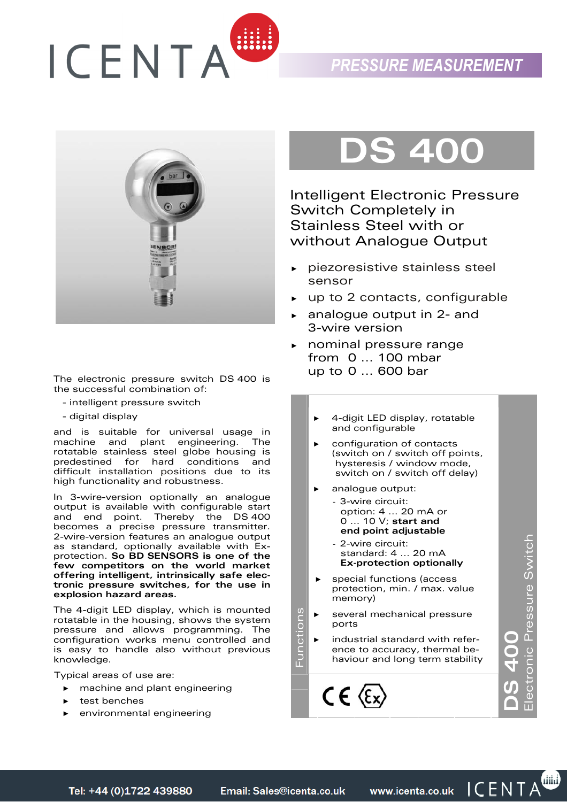



The electronic pressure switch DS 400 is the successful combination of:

- intelligent pressure switch
- digital display

and is suitable for universal usage in machine and plant engineering. The rotatable stainless steel globe housing is predestined for hard conditions and difficult installation positions due to its high functionality and robustness.

In 3-wire-version optionally an analogue output is available with configurable start and end point. Thereby the DS 400 becomes a precise pressure transmitter. 2-wire-version features an analogue output as standard, optionally available with Exprotection. **So BD SENSORS is one of the few competitors on the world market offering intelligent, intrinsically safe electronic pressure switches, for the use in explosion hazard areas.**

The 4-digit LED display, which is mounted rotatable in the housing, shows the system pressure and allows programming. The configuration works menu controlled and is easy to handle also without previous knowledge.

Typical areas of use are:

- ► machine and plant engineering
- ► test benches
- environmental engineering

## **DS 400**

Intelligent Electronic Pressure Switch Completely in Stainless Steel with or without Analogue Output

- ► piezoresistive stainless steel sensor
- up to 2 contacts, configurable
- ► analogue output in 2- and 3-wire version
- ► nominal pressure range from 0 ... 100 mbar up to 0 ... 600 bar
	- ► 4-digit LED display, rotatable and configurable
	- ► configuration of contacts (switch on / switch off points, hysteresis / window mode, switch on / switch off delay)
	- ► analogue output: - 3-wire circuit: option: 4 ... 20 mA or 0 ... 10 V; **start and end point adjustable**
		- 2-wire circuit: standard: 4 ... 20 mA **Ex-protection optionally**
	- special functions (access protection, min. / max. value memory)

i **4.00**<br>ronic Pressure Switch Electronic Pressure Switch

 $\bullet$ 

► several mechanical pressure ports

Functions

Functions

industrial standard with reference to accuracy, thermal behaviour and long term stability

Email: Sales@icenta.co.uk Tel: +44 (0)1722 439880

www.icenta.co.uk ICENTA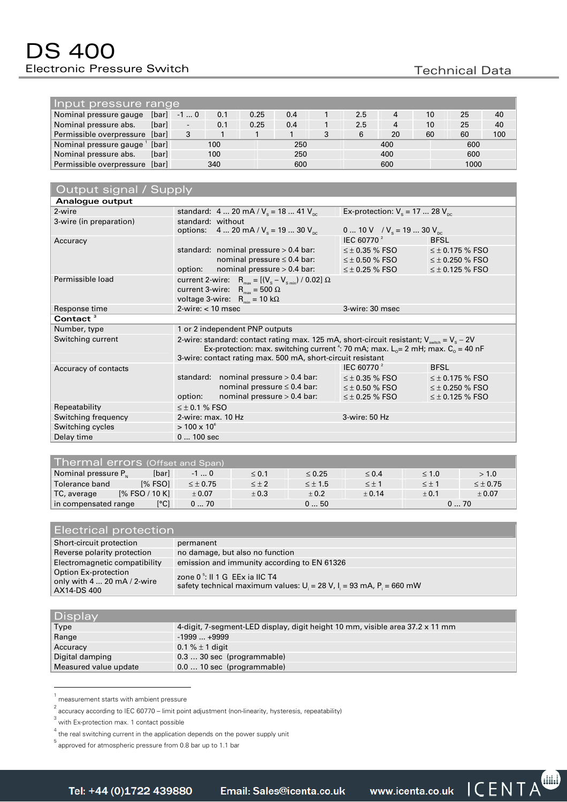| Input pressure range           |       |       |     |      |     |   |     |     |                 |      |     |
|--------------------------------|-------|-------|-----|------|-----|---|-----|-----|-----------------|------|-----|
| Nominal pressure gauge         | [bar] | $-10$ | 0.1 | 0.25 | 0.4 |   | 2.5 | 4   | 10 <sup>1</sup> | 25   | 40  |
| Nominal pressure abs.          | [bar] | ۰.    | 0.1 | 0.25 | 0.4 |   | 2.5 | 4   | 10              | 25   | 40  |
| Permissible overpressure [bar] |       | 3     |     |      |     | 3 | 6   | 20  | 60              | 60   | 100 |
| Nominal pressure gauge         | [bar] |       | 100 |      | 250 |   |     | 400 |                 | 600  |     |
| Nominal pressure abs.          | [bar] |       | 100 |      | 250 |   |     | 400 |                 | 600  |     |
| Permissible overpressure [bar] |       |       | 340 |      | 600 |   |     | 600 |                 | 1000 |     |

| Output signal / Supply  |                                                                                                                     |                                          |                        |  |  |  |  |
|-------------------------|---------------------------------------------------------------------------------------------------------------------|------------------------------------------|------------------------|--|--|--|--|
| Analogue output         |                                                                                                                     |                                          |                        |  |  |  |  |
| 2-wire                  | standard: 4  20 mA / $V_s$ = 18  41 $V_{nc}$                                                                        | Ex-protection: $V_s = 17$ 28 $V_{nc}$    |                        |  |  |  |  |
| 3-wire (in preparation) | standard: without                                                                                                   |                                          |                        |  |  |  |  |
|                         | options: $420$ mA / $V_s = 1930$ $V_{nc}$                                                                           | 0  10 V / $V_s$ = 19  30 $V_{\text{pc}}$ |                        |  |  |  |  |
| Accuracy                |                                                                                                                     | IEC 60770 <sup>2</sup>                   | <b>BFSL</b>            |  |  |  |  |
|                         | standard: nominal pressure $> 0.4$ bar:                                                                             | $\leq$ $\pm$ 0.35 % FSO                  | $\leq \pm 0.175$ % FSO |  |  |  |  |
|                         | nominal pressure $\leq 0.4$ bar:                                                                                    | $\leq \pm$ 0.50 % FSO $\hspace{1cm}$     | $\leq \pm 0.250$ % FSO |  |  |  |  |
|                         | nominal pressure > 0.4 bar:<br>option:                                                                              | $\leq \pm$ 0.25 % FSO                    | $\leq \pm 0.125$ % FSO |  |  |  |  |
| Permissible load        | current 2-wire: $R_{\text{max}} = [(V_s - V_{s_{\text{min}}}) / 0.02] \Omega$                                       |                                          |                        |  |  |  |  |
|                         | current 3-wire: $R_{\text{max}} = 500 \Omega$                                                                       |                                          |                        |  |  |  |  |
|                         | voltage 3-wire: $R_{min} = 10 k\Omega$                                                                              |                                          |                        |  |  |  |  |
| Response time           | $2$ -wire: $<$ 10 msec                                                                                              | 3-wire: 30 msec                          |                        |  |  |  |  |
| Contact <sup>3</sup>    |                                                                                                                     |                                          |                        |  |  |  |  |
| Number, type            | 1 or 2 independent PNP outputs                                                                                      |                                          |                        |  |  |  |  |
| Switching current       | 2-wire: standard: contact rating max. 125 mA, short-circuit resistant; $V_{\text{switch}} = V_s - 2V$               |                                          |                        |  |  |  |  |
|                         | Ex-protection: max. switching current <sup>4</sup> : 70 mA; max. L <sub>o</sub> = 2 mH; max. C <sub>o</sub> = 40 nF |                                          |                        |  |  |  |  |
|                         | 3-wire: contact rating max. 500 mA, short-circuit resistant                                                         |                                          |                        |  |  |  |  |
| Accuracy of contacts    |                                                                                                                     | IEC 60770 <sup>2</sup>                   | <b>BFSL</b>            |  |  |  |  |
|                         | standard: nominal pressure > 0.4 bar:                                                                               | $\leq \pm$ 0.35 % FSO                    | $\leq \pm 0.175$ % FSO |  |  |  |  |
|                         | nominal pressure $\leq 0.4$ bar:                                                                                    | $\leq \pm$ 0.50 % FSO                    | $\leq \pm 0.250$ % FSO |  |  |  |  |
|                         | nominal pressure > 0.4 bar:<br>option:                                                                              | $\leq \pm 0.25$ % FSO                    | $\leq \pm 0.125$ % FSO |  |  |  |  |
| Repeatability           | $\leq \pm 0.1$ % FSO                                                                                                |                                          |                        |  |  |  |  |
| Switching frequency     | 3-wire: 50 Hz<br>2-wire: max. 10 Hz                                                                                 |                                          |                        |  |  |  |  |
| Switching cycles        | $> 100 \times 10^{6}$                                                                                               |                                          |                        |  |  |  |  |
| Delay time              | $0100$ sec                                                                                                          |                                          |                        |  |  |  |  |

| Thermal errors (Offset and Span) |                |                 |              |                |              |              |                 |
|----------------------------------|----------------|-----------------|--------------|----------------|--------------|--------------|-----------------|
| Nominal pressure P <sub>N</sub>  | [bar]          | $-10$           | $\leq 0.1$   | $\leq 0.25$    | $\leq 0.4$   | $\leq 1.0$   | > 1.0           |
| Tolerance band                   | $[%$ FSO $]$   | $\leq \pm 0.75$ | $\leq \pm 2$ | $\leq \pm 1.5$ | $\leq \pm 1$ | $\leq \pm 1$ | $\leq \pm 0.75$ |
| TC, average                      | [% FSO / 10 K] | ± 0.07          | ± 0.3        | ± 0.2          | ± 0.14       | $+0.1$       | ± 0.07          |
| in compensated range             | [°C]           | 070             |              | 050            |              |              | 070             |

| Electrical protection                                                        |                                                                                                                     |  |  |  |
|------------------------------------------------------------------------------|---------------------------------------------------------------------------------------------------------------------|--|--|--|
| Short-circuit protection                                                     | permanent                                                                                                           |  |  |  |
| Reverse polarity protection                                                  | no damage, but also no function                                                                                     |  |  |  |
| Electromagnetic compatibility                                                | emission and immunity according to EN 61326                                                                         |  |  |  |
| Option Ex-protection<br>only with $4 \dots 20$ mA $/ 2$ -wire<br>AX14-DS 400 | zone $0^5$ : Il 1 G EEx ja IIC T4<br>safety technical maximum values: $U_i = 28 V$ , $I_i = 93 mA$ , $P_i = 660 mW$ |  |  |  |

| Display               |                                                                               |
|-----------------------|-------------------------------------------------------------------------------|
| Type                  | 4-digit, 7-segment-LED display, digit height 10 mm, visible area 37.2 x 11 mm |
| Range                 | $-1999+9999$                                                                  |
| Accuracy              | 0.1 % $\pm$ 1 digit                                                           |
| Digital damping       | $0.330$ sec (programmable)                                                    |
| Measured value update | 0.0  10 sec (programmable)                                                    |

<sup>1</sup> measurement starts with ambient pressure

Email: Sales@icenta.co.uk

www.icenta.co.uk ICENTA

 $^{\rm 2}$  accuracy according to IEC 60770 – limit point adjustment (non-linearity, hysteresis, repeatability)

<sup>3</sup> with Ex-protection max. 1 contact possible

 $4$  the real switching current in the application depends on the power supply unit

 $^{\rm 5}$  approved for atmospheric pressure from 0.8 bar up to 1.1 bar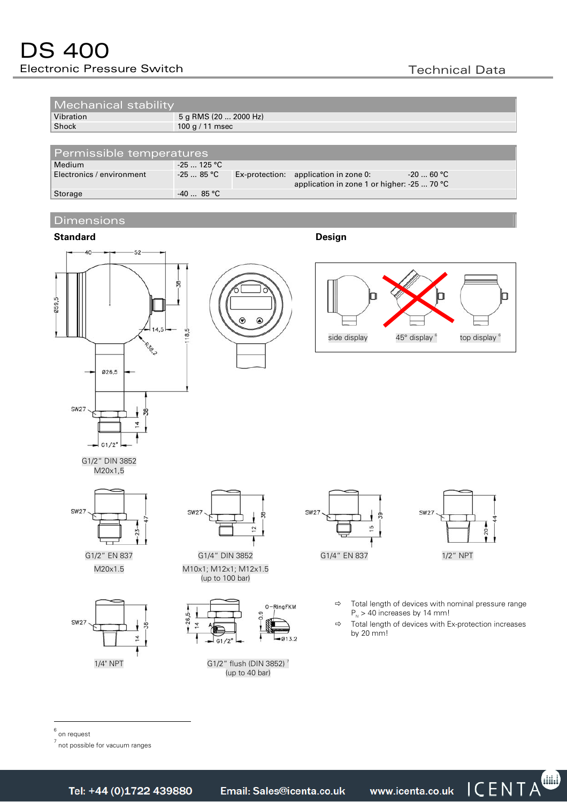| Mechanical stability      |              |                       |                                                                                      |            |  |
|---------------------------|--------------|-----------------------|--------------------------------------------------------------------------------------|------------|--|
| Vibration                 |              | 5 g RMS (20  2000 Hz) |                                                                                      |            |  |
| Shock                     |              | 100 g / 11 msec       |                                                                                      |            |  |
| Permissible temperatures  |              |                       |                                                                                      |            |  |
| Medium                    | $-25$ 125 °C |                       |                                                                                      |            |  |
| Electronics / environment | $-2585$ °C   |                       | Ex-protection: application in zone 0:<br>application in zone 1 or higher: -25  70 °C | $-2060$ °C |  |
| Storage                   | $-4085$ °C   |                       |                                                                                      |            |  |

## **Dimensions**









G1/2" DIN 3852 M20x1,5







M20x1.5 M10x1; M12x1; M12x1.5 (up to 100 bar)



1/4" NPT G1/2" flush (DIN 3852)<sup>7</sup> (up to 40 bar)





- $\Rightarrow$  Total length of devices with nominal pressure range  $P_{N}$  > 40 increases by 14 mm!
- $\Rightarrow$  Total length of devices with Ex-protection increases by 20 mm!

6 on request

7<br>not possible for vacuum ranges

Email: Sales@icenta.co.uk

www.icenta.co.uk ICENTA